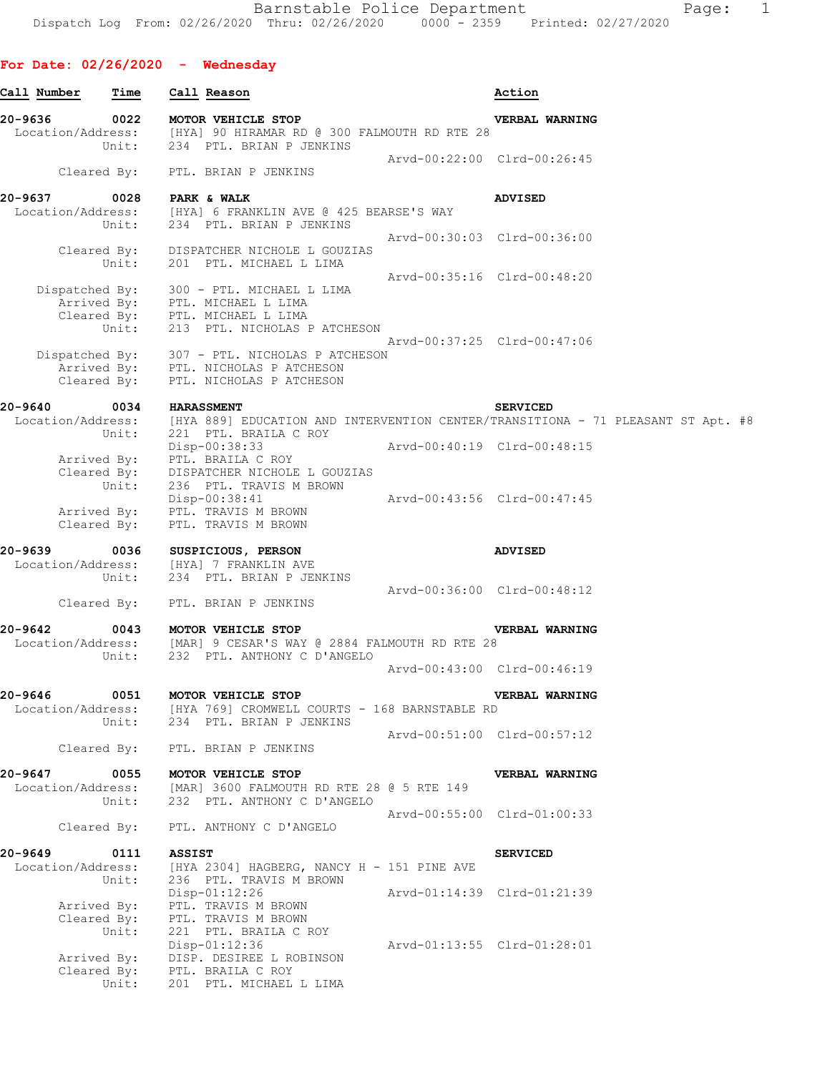## **For Date: 02/26/2020 - Wednesday**

| Call Number                  | $\tt Time$           | Call Reason                                                                                                                   |                             | Action                                                                                             |
|------------------------------|----------------------|-------------------------------------------------------------------------------------------------------------------------------|-----------------------------|----------------------------------------------------------------------------------------------------|
| 20-9636                      | 0022                 | MOTOR VEHICLE STOP<br>Location/Address: [HYA] 90 HIRAMAR RD @ 300 FALMOUTH RD RTE 28<br>Unit: 234 PTL. BRIAN P JENKINS        |                             | VERBAL WARNING                                                                                     |
|                              |                      | Cleared By: PTL. BRIAN P JENKINS                                                                                              | Arvd-00:22:00 Clrd-00:26:45 |                                                                                                    |
| 20-9637                      | 0028                 | <b>PARK &amp; WALK</b>                                                                                                        |                             | <b>ADVISED</b>                                                                                     |
|                              | Unit:                | Location/Address: [HYA] 6 FRANKLIN AVE @ 425 BEARSE'S WAY<br>234 PTL. BRIAN P JENKINS                                         |                             |                                                                                                    |
|                              |                      |                                                                                                                               |                             | Arvd-00:30:03 Clrd-00:36:00                                                                        |
|                              |                      | Cleared By: DISPATCHER NICHOLE L GOUZIAS<br>Unit: 201 PTL. MICHAEL L LIMA                                                     | Arvd-00:35:16 Clrd-00:48:20 |                                                                                                    |
|                              |                      | Dispatched By: 300 - PTL. MICHAEL L LIMA<br>Arrived By: PTL. MICHAEL L LIMA<br>Cleared By: PTL. MICHAEL L LIMA                |                             |                                                                                                    |
|                              |                      | Unit: 213 PTL. NICHOLAS P ATCHESON                                                                                            |                             | Arvd-00:37:25 Clrd-00:47:06                                                                        |
|                              |                      | Dispatched By: 307 - PTL. NICHOLAS P ATCHESON<br>Arrived By: PTL. NICHOLAS P ATCHESON<br>Cleared By: PTL. NICHOLAS P ATCHESON |                             |                                                                                                    |
| 20-9640                      | 0034                 | <b>HARASSMENT</b>                                                                                                             |                             | <b>SERVICED</b>                                                                                    |
|                              |                      |                                                                                                                               |                             | Location/Address: [HYA 889] EDUCATION AND INTERVENTION CENTER/TRANSITIONA - 71 PLEASANT ST Apt. #8 |
|                              | Unit:                | 221 PTL. BRAILA C ROY<br>Disp-00:38:33                                                                                        | Arvd-00:40:19 Clrd-00:48:15 |                                                                                                    |
|                              |                      | Arrived By: PTL. BRAILA C ROY<br>Cleared By: DISPATCHER NICHOLE L GOUZIAS                                                     |                             |                                                                                                    |
|                              | Unit:                | 236 PTL. TRAVIS M BROWN<br>Disp-00:38:41                                                                                      | Arvd-00:43:56 Clrd-00:47:45 |                                                                                                    |
|                              |                      | Arrived By: PTL. TRAVIS M BROWN<br>Cleared By: PTL. TRAVIS M BROWN                                                            |                             |                                                                                                    |
| 20-9639                      | Unit:                | 0036 SUSPICIOUS, PERSON<br>Location/Address: [HYA] 7 FRANKLIN AVE<br>234 PTL. BRIAN P JENKINS                                 |                             | <b>ADVISED</b>                                                                                     |
|                              |                      | Cleared By: PTL. BRIAN P JENKINS                                                                                              |                             | Arvd-00:36:00 Clrd-00:48:12                                                                        |
| 20-9642                      | 0043                 | MOTOR VEHICLE STOP                                                                                                            |                             | VERBAL WARNING                                                                                     |
|                              | Unit:                | Location/Address: [MAR] 9 CESAR'S WAY @ 2884 FALMOUTH RD RTE 28<br>232 PTL. ANTHONY C D'ANGELO                                |                             |                                                                                                    |
|                              |                      |                                                                                                                               |                             | Arvd-00:43:00 Clrd-00:46:19                                                                        |
| 20-9646<br>Location/Address: | 0051                 | MOTOR VEHICLE STOP<br>[HYA 769] CROMWELL COURTS - 168 BARNSTABLE RD                                                           |                             | <b>VERBAL WARNING</b>                                                                              |
|                              | Unit:                | 234 PTL. BRIAN P JENKINS                                                                                                      |                             | Arvd-00:51:00 Clrd-00:57:12                                                                        |
|                              | Cleared By:          | PTL. BRIAN P JENKINS                                                                                                          |                             |                                                                                                    |
| 20-9647                      | 0055                 | MOTOR VEHICLE STOP                                                                                                            |                             | VERBAL WARNING                                                                                     |
| Location/Address:            | Unit:                | [MAR] 3600 FALMOUTH RD RTE 28 @ 5 RTE 149<br>232 PTL. ANTHONY C D'ANGELO                                                      |                             |                                                                                                    |
|                              | Cleared By:          | PTL. ANTHONY C D'ANGELO                                                                                                       |                             | Arvd-00:55:00 Clrd-01:00:33                                                                        |
| 20-9649                      | 0111                 | <b>ASSIST</b>                                                                                                                 |                             | <b>SERVICED</b>                                                                                    |
| Location/Address:            | Unit:                | $[HYA 2304]$ HAGBERG, NANCY H - 151 PINE AVE<br>236 PTL. TRAVIS M BROWN                                                       |                             |                                                                                                    |
|                              |                      | $Disp-01:12:26$                                                                                                               |                             | Arvd-01:14:39 Clrd-01:21:39                                                                        |
|                              |                      | Arrived By: PTL. TRAVIS M BROWN<br>Cleared By: PTL. TRAVIS M BROWN                                                            |                             |                                                                                                    |
|                              | Unit:                | 221 PTL. BRAILA C ROY                                                                                                         |                             |                                                                                                    |
|                              | Arrived By:          | Disp-01:12:36<br>DISP. DESIREE L ROBINSON                                                                                     |                             | Arvd-01:13:55 Clrd-01:28:01                                                                        |
|                              | Cleared By:<br>Unit: | PTL. BRAILA C ROY<br>201 PTL. MICHAEL L LIMA                                                                                  |                             |                                                                                                    |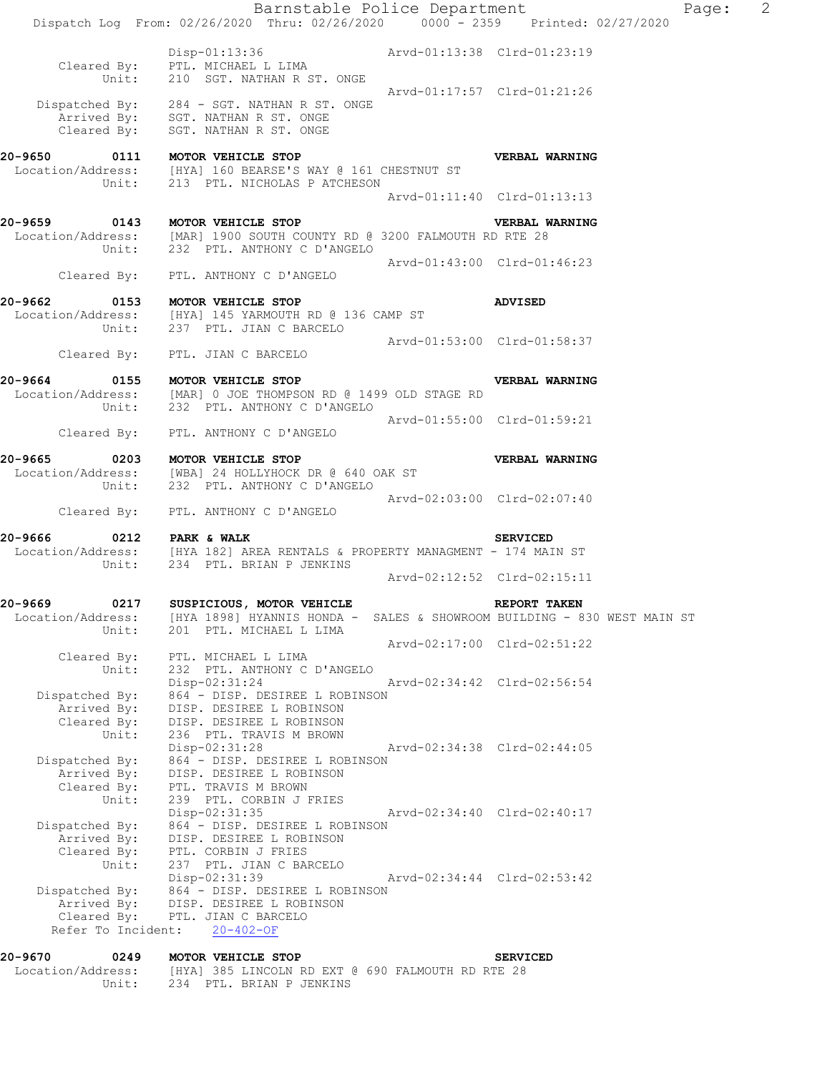|                                                                                               |                                                                                                                                     |                                                                                                                                                                                                                                                                                                                                                                                                                                                                                                                                                                                                                                                                             | Page:                                                                                                                                                                                                                                                                                                                                                                                                                                                                                                                                                                                                                                                                                                                                                                                        | $\overline{2}$                                                                            |
|-----------------------------------------------------------------------------------------------|-------------------------------------------------------------------------------------------------------------------------------------|-----------------------------------------------------------------------------------------------------------------------------------------------------------------------------------------------------------------------------------------------------------------------------------------------------------------------------------------------------------------------------------------------------------------------------------------------------------------------------------------------------------------------------------------------------------------------------------------------------------------------------------------------------------------------------|----------------------------------------------------------------------------------------------------------------------------------------------------------------------------------------------------------------------------------------------------------------------------------------------------------------------------------------------------------------------------------------------------------------------------------------------------------------------------------------------------------------------------------------------------------------------------------------------------------------------------------------------------------------------------------------------------------------------------------------------------------------------------------------------|-------------------------------------------------------------------------------------------|
| Cleared By: PTL. MICHAEL L LIMA<br>Unit: 210 SGT. NATHAN R ST. ONGE                           |                                                                                                                                     |                                                                                                                                                                                                                                                                                                                                                                                                                                                                                                                                                                                                                                                                             |                                                                                                                                                                                                                                                                                                                                                                                                                                                                                                                                                                                                                                                                                                                                                                                              |                                                                                           |
| Cleared By: SGT. NATHAN R ST. ONGE                                                            |                                                                                                                                     |                                                                                                                                                                                                                                                                                                                                                                                                                                                                                                                                                                                                                                                                             |                                                                                                                                                                                                                                                                                                                                                                                                                                                                                                                                                                                                                                                                                                                                                                                              |                                                                                           |
| 0111 MOTOR VEHICLE STOP                                                                       |                                                                                                                                     |                                                                                                                                                                                                                                                                                                                                                                                                                                                                                                                                                                                                                                                                             |                                                                                                                                                                                                                                                                                                                                                                                                                                                                                                                                                                                                                                                                                                                                                                                              |                                                                                           |
|                                                                                               |                                                                                                                                     |                                                                                                                                                                                                                                                                                                                                                                                                                                                                                                                                                                                                                                                                             |                                                                                                                                                                                                                                                                                                                                                                                                                                                                                                                                                                                                                                                                                                                                                                                              |                                                                                           |
| 20-9659 0143 MOTOR VEHICLE STOP                                                               |                                                                                                                                     | <b>VERBAL WARNING</b>                                                                                                                                                                                                                                                                                                                                                                                                                                                                                                                                                                                                                                                       |                                                                                                                                                                                                                                                                                                                                                                                                                                                                                                                                                                                                                                                                                                                                                                                              |                                                                                           |
| Cleared By: PTL. ANTHONY C D'ANGELO                                                           |                                                                                                                                     |                                                                                                                                                                                                                                                                                                                                                                                                                                                                                                                                                                                                                                                                             |                                                                                                                                                                                                                                                                                                                                                                                                                                                                                                                                                                                                                                                                                                                                                                                              |                                                                                           |
| 0153 MOTOR VEHICLE STOP                                                                       |                                                                                                                                     | <b>ADVISED</b>                                                                                                                                                                                                                                                                                                                                                                                                                                                                                                                                                                                                                                                              |                                                                                                                                                                                                                                                                                                                                                                                                                                                                                                                                                                                                                                                                                                                                                                                              |                                                                                           |
| Cleared By: PTL. JIAN C BARCELO                                                               |                                                                                                                                     |                                                                                                                                                                                                                                                                                                                                                                                                                                                                                                                                                                                                                                                                             |                                                                                                                                                                                                                                                                                                                                                                                                                                                                                                                                                                                                                                                                                                                                                                                              |                                                                                           |
| 0155 MOTOR VEHICLE STOP                                                                       |                                                                                                                                     | VERBAL WARNING                                                                                                                                                                                                                                                                                                                                                                                                                                                                                                                                                                                                                                                              |                                                                                                                                                                                                                                                                                                                                                                                                                                                                                                                                                                                                                                                                                                                                                                                              |                                                                                           |
| Cleared By: PTL. ANTHONY C D'ANGELO                                                           |                                                                                                                                     |                                                                                                                                                                                                                                                                                                                                                                                                                                                                                                                                                                                                                                                                             |                                                                                                                                                                                                                                                                                                                                                                                                                                                                                                                                                                                                                                                                                                                                                                                              |                                                                                           |
| 0203 MOTOR VEHICLE STOP                                                                       |                                                                                                                                     |                                                                                                                                                                                                                                                                                                                                                                                                                                                                                                                                                                                                                                                                             |                                                                                                                                                                                                                                                                                                                                                                                                                                                                                                                                                                                                                                                                                                                                                                                              |                                                                                           |
| Cleared By: PTL. ANTHONY C D'ANGELO                                                           |                                                                                                                                     |                                                                                                                                                                                                                                                                                                                                                                                                                                                                                                                                                                                                                                                                             |                                                                                                                                                                                                                                                                                                                                                                                                                                                                                                                                                                                                                                                                                                                                                                                              |                                                                                           |
| 0212 PARK & WALK                                                                              |                                                                                                                                     | <b>SERVICED</b>                                                                                                                                                                                                                                                                                                                                                                                                                                                                                                                                                                                                                                                             |                                                                                                                                                                                                                                                                                                                                                                                                                                                                                                                                                                                                                                                                                                                                                                                              |                                                                                           |
|                                                                                               |                                                                                                                                     |                                                                                                                                                                                                                                                                                                                                                                                                                                                                                                                                                                                                                                                                             |                                                                                                                                                                                                                                                                                                                                                                                                                                                                                                                                                                                                                                                                                                                                                                                              |                                                                                           |
| 0217<br>Unit:<br>201 PTL. MICHAEL L LIMA                                                      |                                                                                                                                     | REPORT TAKEN                                                                                                                                                                                                                                                                                                                                                                                                                                                                                                                                                                                                                                                                |                                                                                                                                                                                                                                                                                                                                                                                                                                                                                                                                                                                                                                                                                                                                                                                              |                                                                                           |
| Cleared By: PTL. MICHAEL L LIMA                                                               |                                                                                                                                     |                                                                                                                                                                                                                                                                                                                                                                                                                                                                                                                                                                                                                                                                             |                                                                                                                                                                                                                                                                                                                                                                                                                                                                                                                                                                                                                                                                                                                                                                                              |                                                                                           |
| Disp-02:31:24<br>Arrived By: DISP. DESIREE L ROBINSON<br>Cleared By: DISP. DESIREE L ROBINSON |                                                                                                                                     |                                                                                                                                                                                                                                                                                                                                                                                                                                                                                                                                                                                                                                                                             |                                                                                                                                                                                                                                                                                                                                                                                                                                                                                                                                                                                                                                                                                                                                                                                              |                                                                                           |
| Disp-02:31:28<br>Arrived By: DISP. DESIREE L ROBINSON<br>Cleared By: PTL. TRAVIS M BROWN      |                                                                                                                                     |                                                                                                                                                                                                                                                                                                                                                                                                                                                                                                                                                                                                                                                                             |                                                                                                                                                                                                                                                                                                                                                                                                                                                                                                                                                                                                                                                                                                                                                                                              |                                                                                           |
| Disp-02:31:35<br>Arrived By: DISP. DESIREE L ROBINSON                                         |                                                                                                                                     |                                                                                                                                                                                                                                                                                                                                                                                                                                                                                                                                                                                                                                                                             |                                                                                                                                                                                                                                                                                                                                                                                                                                                                                                                                                                                                                                                                                                                                                                                              |                                                                                           |
| Unit: 237 PTL. JIAN C BARCELO<br>Disp-02:31:39                                                | Arvd-02:34:44 Clrd-02:53:42                                                                                                         |                                                                                                                                                                                                                                                                                                                                                                                                                                                                                                                                                                                                                                                                             |                                                                                                                                                                                                                                                                                                                                                                                                                                                                                                                                                                                                                                                                                                                                                                                              |                                                                                           |
|                                                                                               | Unit: 234 PTL. BRIAN P JENKINS<br>Unit: 236 PTL. TRAVIS M BROWN<br>Unit: 239 PTL. CORBIN J FRIES<br>Cleared By: PTL. CORBIN J FRIES | Dispatched By: 284 - SGT. NATHAN R ST. ONGE<br>Arrived By: SGT. NATHAN R ST. ONGE<br>Location/Address: [HYA] 160 BEARSE'S WAY @ 161 CHESTNUT ST<br>Unit: 213 PTL. NICHOLAS P ATCHESON<br>Unit: 232 PTL. ANTHONY C D'ANGELO<br>Location/Address: [HYA] 145 YARMOUTH RD @ 136 CAMP ST<br>Unit: 237 PTL. JIAN C BARCELO<br>Unit: 232 PTL. ANTHONY C D'ANGELO<br>Location/Address: [WBA] 24 HOLLYHOCK DR @ 640 OAK ST<br>Unit: 232 PTL. ANTHONY C D'ANGELO<br>SUSPICIOUS, MOTOR VEHICLE<br>Unit: 232 PTL. ANTHONY C D'ANGELO<br>Dispatched By: 864 - DISP. DESIREE L ROBINSON<br>Dispatched By: 864 - DISP. DESIREE L ROBINSON<br>Dispatched By: 864 - DISP. DESIREE L ROBINSON | Barnstable Police Department<br>Dispatch Log From: 02/26/2020 Thru: 02/26/2020 0000 - 2359 Printed: 02/27/2020<br>Disp-01:13:36 Arvd-01:13:38 Clrd-01:23:19<br>Arvd-01:17:57 Clrd-01:21:26<br><b>VERBAL WARNING</b><br>Arvd-01:11:40 Clrd-01:13:13<br>Location/Address: [MAR] 1900 SOUTH COUNTY RD @ 3200 FALMOUTH RD RTE 28<br>Arvd-01:43:00 Clrd-01:46:23<br>Arvd-01:53:00 Clrd-01:58:37<br>Location/Address: [MAR] 0 JOE THOMPSON RD @ 1499 OLD STAGE RD<br>Arvd-01:55:00 Clrd-01:59:21<br><b>VERBAL WARNING</b><br>Arvd-02:03:00 Clrd-02:07:40<br>Location/Address: [HYA 182] AREA RENTALS & PROPERTY MANAGMENT - 174 MAIN ST<br>Arvd-02:12:52 Clrd-02:15:11<br>Arvd-02:17:00 Clrd-02:51:22<br>Arvd-02:34:42 Clrd-02:56:54<br>Arvd-02:34:38 Clrd-02:44:05<br>Arvd-02:34:40 Clrd-02:40:17 | Location/Address: [HYA 1898] HYANNIS HONDA - SALES & SHOWROOM BUILDING - 830 WEST MAIN ST |

Unit: 234 PTL. BRIAN P JENKINS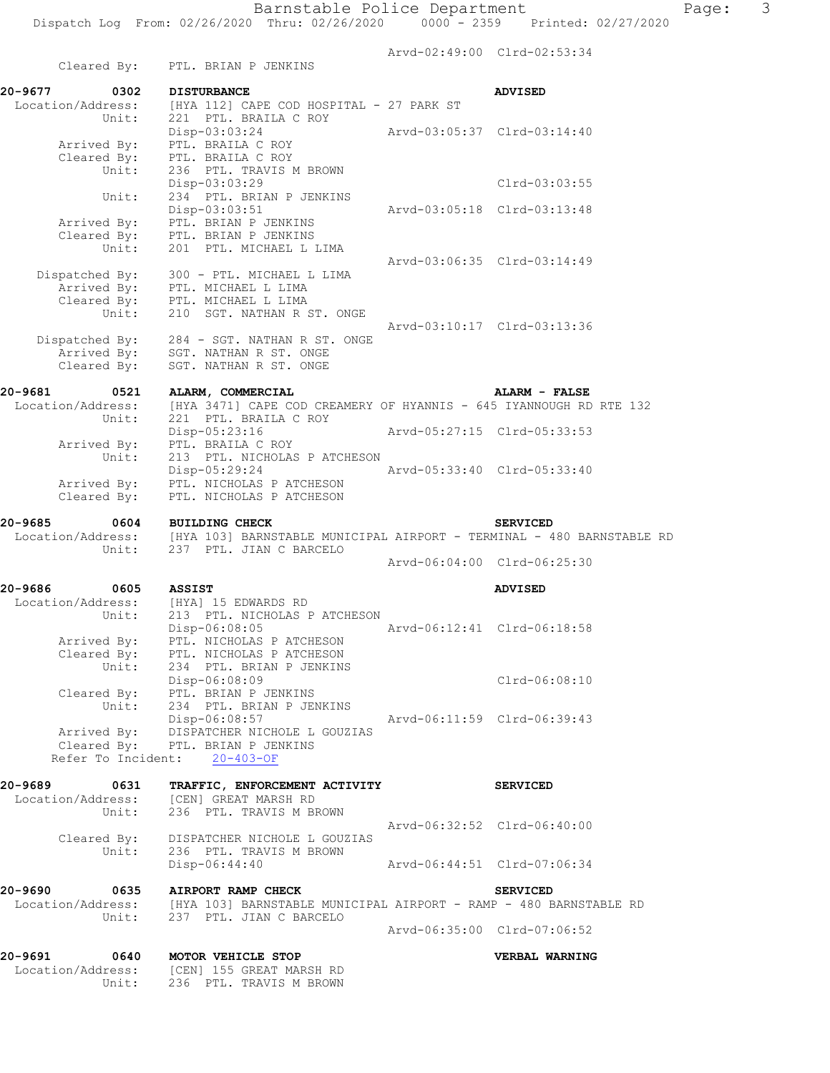|                                     | Cleared By: PTL. BRIAN P JENKINS                                                                                                            |                             | Arvd-02:49:00 Clrd-02:53:34 |
|-------------------------------------|---------------------------------------------------------------------------------------------------------------------------------------------|-----------------------------|-----------------------------|
| 20-9677<br>0302                     | <b>DISTURBANCE</b>                                                                                                                          |                             | <b>ADVISED</b>              |
| Location/Address:<br>Unit:          | [HYA 112] CAPE COD HOSPITAL - 27 PARK ST<br>221 PTL. BRAILA C ROY<br>Disp-03:03:24                                                          | Arvd-03:05:37 Clrd-03:14:40 |                             |
| Arrived By:<br>Cleared By:<br>Unit: | PTL. BRAILA C ROY<br>PTL. BRAILA C ROY<br>236 PTL. TRAVIS M BROWN                                                                           |                             |                             |
|                                     | Disp-03:03:29                                                                                                                               |                             | Clrd-03:03:55               |
| Unit:                               | 234 PTL. BRIAN P JENKINS<br>$Disp-03:03:51$<br>Arrived By: PTL. BRIAN P JENKINS                                                             | Arvd-03:05:18 Clrd-03:13:48 |                             |
| Cleared By:<br>Unit:                | PTL. BRIAN P JENKINS<br>201 PTL. MICHAEL L LIMA                                                                                             | Arvd-03:06:35 Clrd-03:14:49 |                             |
| Cleared By:                         | Dispatched By: 300 - PTL. MICHAEL L LIMA<br>Arrived By: PTL. MICHAEL L LIMA<br>PTL. MICHAEL L LIMA                                          |                             |                             |
| Unit:                               | 210 SGT. NATHAN R ST. ONGE<br>Dispatched By: 284 - SGT. NATHAN R ST. ONGE                                                                   |                             | Arvd-03:10:17 Clrd-03:13:36 |
| Cleared By:                         | Arrived By: SGT. NATHAN R ST. ONGE<br>SGT. NATHAN R ST. ONGE                                                                                |                             |                             |
| 20-9681<br>0521                     | ALARM, COMMERCIAL<br>Location/Address: [HYA 3471] CAPE COD CREAMERY OF HYANNIS - 645 IYANNOUGH RD RTE 132                                   |                             | <b>ALARM - FALSE</b>        |
| Unit:<br>Arrived By:                | 221 PTL. BRAILA C ROY<br>Disp-05:23:16<br>PTL. BRAILA C ROY                                                                                 | Arvd-05:27:15 Clrd-05:33:53 |                             |
| Unit:                               | 213 PTL. NICHOLAS P ATCHESON<br>Disp-05:29:24<br>Arrived By: PTL. NICHOLAS P ATCHESON                                                       | Arvd-05:33:40 Clrd-05:33:40 |                             |
| Cleared By:                         | PTL. NICHOLAS P ATCHESON                                                                                                                    |                             |                             |
| 20-9685<br>0604<br>Unit:            | <b>BUILDING CHECK</b><br>Location/Address: [HYA 103] BARNSTABLE MUNICIPAL AIRPORT - TERMINAL - 480 BARNSTABLE RD<br>237 PTL. JIAN C BARCELO |                             | <b>SERVICED</b>             |
|                                     |                                                                                                                                             |                             | Arvd-06:04:00 Clrd-06:25:30 |
| 20-9686<br>0605                     | <b>ASSIST</b>                                                                                                                               |                             | <b>ADVISED</b>              |
|                                     | Location/Address: [HYA] 15 EDWARDS RD<br>Unit: 213 PTL. NICHOLAS P ATCHESON<br>Disp-06:08:05                                                | Arvd-06:12:41 Clrd-06:18:58 |                             |
| Arrived By:<br>Cleared By:<br>Unit: | PTL. NICHOLAS P ATCHESON<br>PTL. NICHOLAS P ATCHESON<br>234 PTL. BRIAN P JENKINS                                                            |                             |                             |
|                                     | Disp-06:08:09<br>Cleared By: PTL. BRIAN P JENKINS<br>Unit: 234 PTL. BRIAN P JENKINS                                                         |                             | $Clrd-06:08:10$             |
| Arrived By:                         | Disp-06:08:57<br>DISPATCHER NICHOLE L GOUZIAS                                                                                               | Arvd-06:11:59 Clrd-06:39:43 |                             |
|                                     | Cleared By: PTL. BRIAN P JENKINS<br>Refer To Incident: 20-403-OF                                                                            |                             |                             |
| 20-9689<br>0631                     | TRAFFIC, ENFORCEMENT ACTIVITY<br>Location/Address: [CEN] GREAT MARSH RD                                                                     |                             | <b>SERVICED</b>             |
| Unit:                               | 236 PTL. TRAVIS M BROWN                                                                                                                     | Arvd-06:32:52 Clrd-06:40:00 |                             |
| Cleared By:                         | DISPATCHER NICHOLE L GOUZIAS<br>Unit: 236 PTL. TRAVIS M BROWN<br>$Disp-06:44:40$                                                            | Arvd-06:44:51 Clrd-07:06:34 |                             |
| 20-9690<br>0635                     | AIRPORT RAMP CHECK                                                                                                                          |                             |                             |
|                                     | Location/Address: [HYA 103] BARNSTABLE MUNICIPAL AIRPORT - RAMP - 480 BARNSTABLE RD<br>Unit: 237 PTL. JIAN C BARCELO                        |                             | <b>SERVICED</b>             |
|                                     |                                                                                                                                             |                             | Arvd-06:35:00 Clrd-07:06:52 |
| 20-9691<br>0640                     | MOTOR VEHICLE STOP<br>Location/Address: [CEN] 155 GREAT MARSH RD<br>Unit: 236 PTL. TRAVIS M BROWN                                           |                             | VERBAL WARNING              |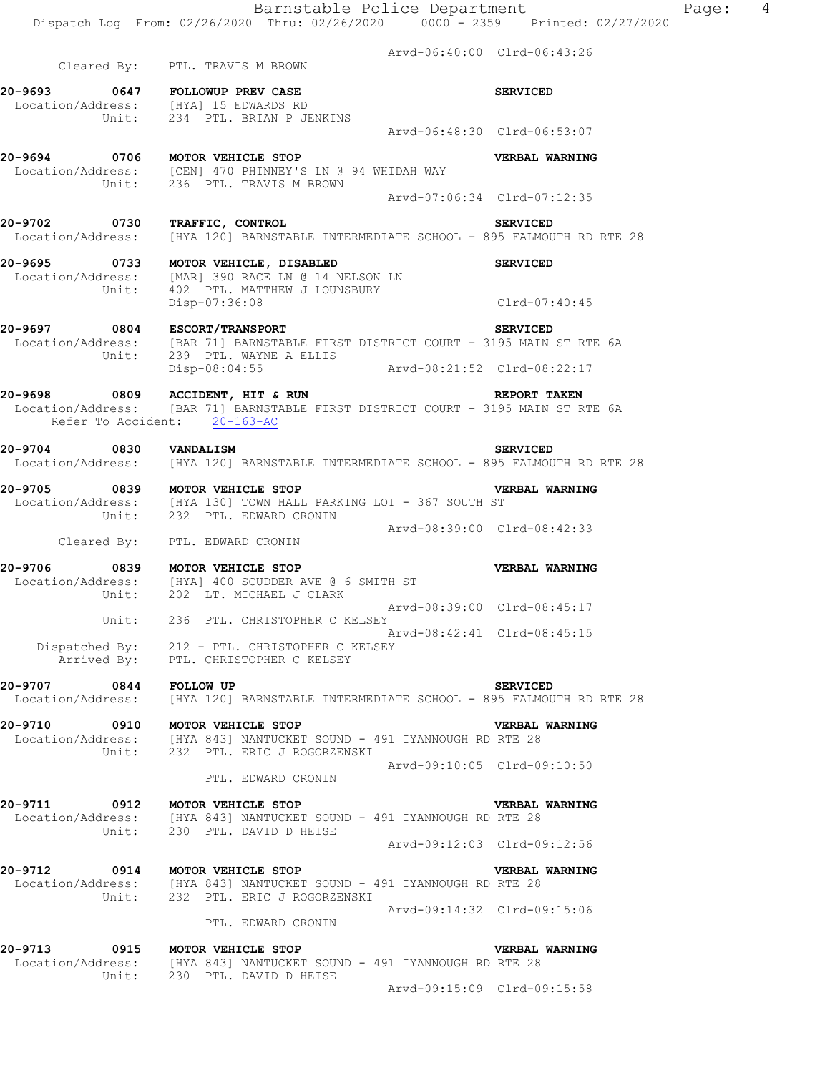Arvd-06:40:00 Clrd-06:43:26 Cleared By: PTL. TRAVIS M BROWN **20-9693 0647 FOLLOWUP PREV CASE SERVICED**  Location/Address: [HYA] 15 EDWARDS RD Unit: 234 PTL. BRIAN P JENKINS Arvd-06:48:30 Clrd-06:53:07 **20-9694 0706 MOTOR VEHICLE STOP VERBAL WARNING**  Location/Address: [CEN] 470 PHINNEY'S LN @ 94 WHIDAH WAY Unit: 236 PTL. TRAVIS M BROWN Arvd-07:06:34 Clrd-07:12:35 **20-9702 0730 TRAFFIC, CONTROL SERVICED**  Location/Address: [HYA 120] BARNSTABLE INTERMEDIATE SCHOOL - 895 FALMOUTH RD RTE 28 **20-9695 0733 MOTOR VEHICLE, DISABLED SERVICED**  Location/Address: [MAR] 390 RACE LN @ 14 NELSON LN Unit: 402 PTL. MATTHEW J LOUNSBURY Disp-07:36:08 Clrd-07:40:45 **20-9697 0804 ESCORT/TRANSPORT SERVICED**  Location/Address: [BAR 71] BARNSTABLE FIRST DISTRICT COURT - 3195 MAIN ST RTE 6A Unit: 239 PTL. WAYNE A ELLIS Disp-08:04:55 Arvd-08:21:52 Clrd-08:22:17 **20-9698 0809 ACCIDENT, HIT & RUN REPORT TAKEN**  Location/Address: [BAR 71] BARNSTABLE FIRST DISTRICT COURT - 3195 MAIN ST RTE 6A Refer To Accident: 20-163-AC **20-9704 0830 VANDALISM SERVICED**  Location/Address: [HYA 120] BARNSTABLE INTERMEDIATE SCHOOL - 895 FALMOUTH RD RTE 28 **20-9705 0839 MOTOR VEHICLE STOP VERBAL WARNING**  Location/Address: [HYA 130] TOWN HALL PARKING LOT - 367 SOUTH ST Unit: 232 PTL. EDWARD CRONIN Arvd-08:39:00 Clrd-08:42:33 Cleared By: PTL. EDWARD CRONIN **20-9706 0839 MOTOR VEHICLE STOP VERBAL WARNING**  Location/Address: [HYA] 400 SCUDDER AVE @ 6 SMITH ST Unit: 202 LT. MICHAEL J CLARK Arvd-08:39:00 Clrd-08:45:17 Unit: 236 PTL. CHRISTOPHER C KELSEY Arvd-08:42:41 Clrd-08:45:15 Dispatched By: 212 - PTL. CHRISTOPHER C KELSEY Arrived By: PTL. CHRISTOPHER C KELSEY **20-9707 0844 FOLLOW UP SERVICED**  Location/Address: [HYA 120] BARNSTABLE INTERMEDIATE SCHOOL - 895 FALMOUTH RD RTE 28 **20-9710 0910 MOTOR VEHICLE STOP VERBAL WARNING**  Location/Address: [HYA 843] NANTUCKET SOUND - 491 IYANNOUGH RD RTE 28 Unit: 232 PTL. ERIC J ROGORZENSKI Arvd-09:10:05 Clrd-09:10:50 PTL. EDWARD CRONIN **20-9711 0912 MOTOR VEHICLE STOP VERBAL WARNING**  Location/Address: [HYA 843] NANTUCKET SOUND - 491 IYANNOUGH RD RTE 28 Unit: 230 PTL. DAVID D HEISE Arvd-09:12:03 Clrd-09:12:56 **20-9712 0914 MOTOR VEHICLE STOP VERBAL WARNING**  Location/Address: [HYA 843] NANTUCKET SOUND - 491 IYANNOUGH RD RTE 28 Unit: 232 PTL. ERIC J ROGORZENSKI Arvd-09:14:32 Clrd-09:15:06 PTL. EDWARD CRONIN **20-9713 0915 MOTOR VEHICLE STOP VERBAL WARNING**  Location/Address: [HYA 843] NANTUCKET SOUND - 491 IYANNOUGH RD RTE 28 Unit: 230 PTL. DAVID D HEISE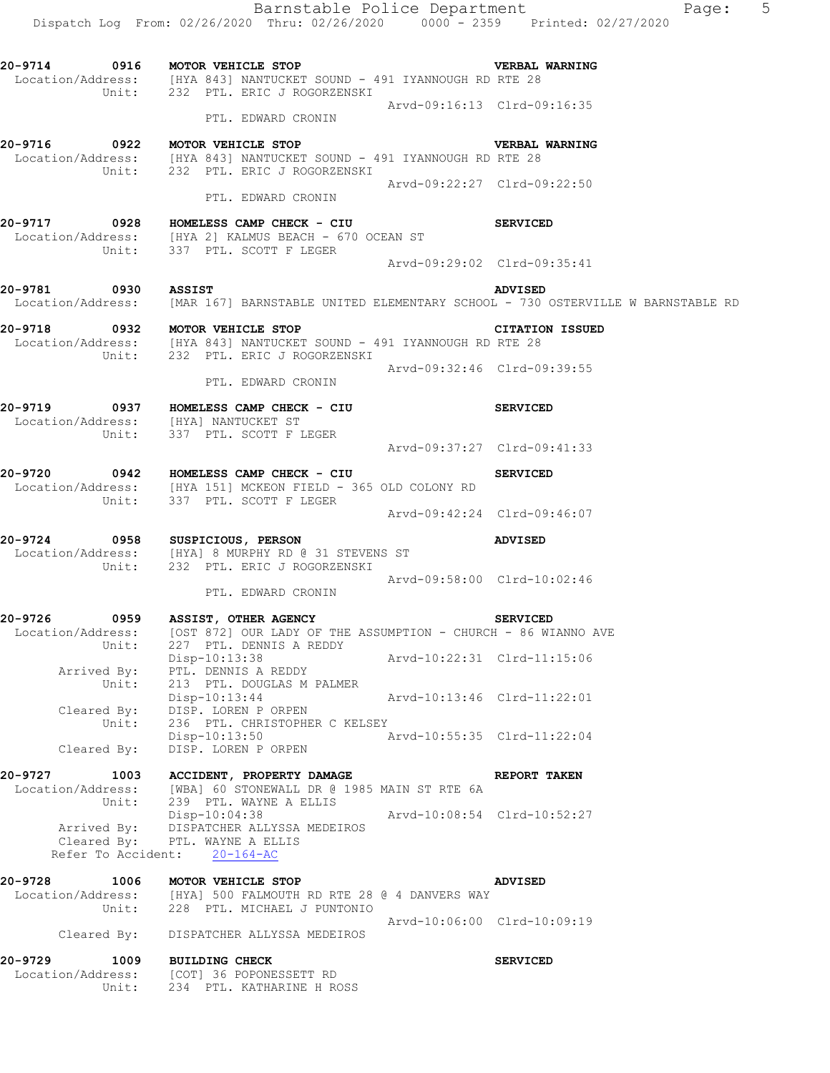|                          | Dispatch Log From: 02/26/2020 Thru: 02/26/2020 0000 - 2359 Printed: 02/27/2020                                                                       |                             | Barnstable Police Department<br>Page: 5                                                                            |  |
|--------------------------|------------------------------------------------------------------------------------------------------------------------------------------------------|-----------------------------|--------------------------------------------------------------------------------------------------------------------|--|
|                          | 20-9714 0916 MOTOR VEHICLE STOP VERBAL<br>Location/Address: [HYA 843] NANTUCKET SOUND - 491 IYANNOUGH RD RTE 28<br>Unit: 232 PTL. ERIC J ROGORZENSKI |                             | <b>VERBAL WARNING</b>                                                                                              |  |
|                          | PTL. EDWARD CRONIN                                                                                                                                   | Arvd-09:16:13 Clrd-09:16:35 |                                                                                                                    |  |
|                          | 20-9716 0922 MOTOR VEHICLE STOP                                                                                                                      |                             |                                                                                                                    |  |
|                          | Location/Address: [HYA 843] NANTUCKET SOUND - 491 IYANNOUGH RD RTE 28<br>Unit: 232 PTL. ERIC J ROGORZENSKI                                           |                             | <b>VERBAL WARNING</b>                                                                                              |  |
|                          | PTL. EDWARD CRONIN                                                                                                                                   | Arvd-09:22:27 Clrd-09:22:50 |                                                                                                                    |  |
|                          | 20-9717 0928 HOMELESS CAMP CHECK - CIU<br>Location/Address: [HYA 2] KALMUS BEACH - 670 OCEAN ST<br>Unit: 337 PTL. SCOTT F LEGER                      |                             | <b>SERVICED</b>                                                                                                    |  |
|                          |                                                                                                                                                      | Arvd-09:29:02 Clrd-09:35:41 |                                                                                                                    |  |
| 20-9781 0930 ASSIST      |                                                                                                                                                      |                             | <b>ADVISED</b><br>Location/Address: [MAR 167] BARNSTABLE UNITED ELEMENTARY SCHOOL - 730 OSTERVILLE W BARNSTABLE RD |  |
|                          | 20-9718 0932 MOTOR VEHICLE STOP                                                                                                                      |                             | <b>CITATION ISSUED</b>                                                                                             |  |
|                          | Location/Address: [HYA 843] NANTUCKET SOUND - 491 IYANNOUGH RD RTE 28<br>Unit: 232 PTL. ERIC J ROGORZENSKI                                           |                             |                                                                                                                    |  |
|                          | PTL. EDWARD CRONIN                                                                                                                                   | Arvd-09:32:46 Clrd-09:39:55 |                                                                                                                    |  |
|                          |                                                                                                                                                      |                             | <b>SERVICED</b>                                                                                                    |  |
|                          | 20-9719 0937 HOMELESS CAMP CHECK - CIU<br>Location/Address: [HYA] NANTUCKET ST                                                                       |                             |                                                                                                                    |  |
|                          | Unit: 337 PTL. SCOTT F LEGER                                                                                                                         | Arvd-09:37:27 Clrd-09:41:33 |                                                                                                                    |  |
|                          | 20-9720 0942 HOMELESS CAMP CHECK - CIU<br>Location/Address: [HYA 151] MCKEON FIELD - 365 OLD COLONY RD<br>Unit: 337 PTL. SCOTT F LEGER               |                             | <b>SERVICED</b>                                                                                                    |  |
|                          |                                                                                                                                                      | Arvd-09:42:24 Clrd-09:46:07 |                                                                                                                    |  |
|                          | 20-9724 0958 SUSPICIOUS, PERSON<br>Location/Address: [HYA] 8 MURPHY RD @ 31 STEVENS ST<br>Unit: 232 PTL. ERIC J ROGORZENSKI                          |                             | <b>ADVISED</b>                                                                                                     |  |
|                          | 232 PTL. ERIC J ROGORZENSKI<br>PTL. EDWARD CRONIN                                                                                                    | Arvd-09:58:00 Clrd-10:02:46 |                                                                                                                    |  |
|                          |                                                                                                                                                      |                             |                                                                                                                    |  |
| 0959<br>20-9726<br>Unit: | ASSIST, OTHER AGENCY<br>Location/Address: [OST 872] OUR LADY OF THE ASSUMPTION - CHURCH - 86 WIANNO AVE<br>227 PTL. DENNIS A REDDY                   |                             | <b>SERVICED</b>                                                                                                    |  |
| Arrived By:              | Disp-10:13:38<br>PTL. DENNIS A REDDY                                                                                                                 | Arvd-10:22:31 Clrd-11:15:06 |                                                                                                                    |  |
| Unit:                    | 213 PTL. DOUGLAS M PALMER<br>Disp-10:13:44 Arvd-10:13:46 Clrd-11:22:01                                                                               |                             |                                                                                                                    |  |
| Unit:                    | Cleared By: DISP. LOREN P ORPEN<br>236 PTL. CHRISTOPHER C KELSEY                                                                                     |                             |                                                                                                                    |  |
| Cleared By:              | Disp-10:13:50<br>DISP. LOREN P ORPEN                                                                                                                 | Arvd-10:55:35 Clrd-11:22:04 |                                                                                                                    |  |
|                          | 20-9727 1003 ACCIDENT, PROPERTY DAMAGE                                                                                                               |                             | REPORT TAKEN                                                                                                       |  |
| Unit:                    | Location/Address: [WBA] 60 STONEWALL DR @ 1985 MAIN ST RTE 6A<br>239 PTL. WAYNE A ELLIS                                                              |                             |                                                                                                                    |  |
|                          | Disp-10:04:38<br>Arrived By: DISPATCHER ALLYSSA MEDEIROS<br>Cleared By: PTL. WAYNE A ELLIS                                                           | Arvd-10:08:54 Clrd-10:52:27 |                                                                                                                    |  |
|                          | Refer To Accident: 20-164-AC                                                                                                                         |                             |                                                                                                                    |  |
| 20-9728                  | 1006 MOTOR VEHICLE STOP<br>Location/Address: [HYA] 500 FALMOUTH RD RTE 28 @ 4 DANVERS WAY<br>Unit: 228 PTL. MICHAEL J PUNTONIO                       |                             | <b>ADVISED</b>                                                                                                     |  |
|                          | Cleared By: DISPATCHER ALLYSSA MEDEIROS                                                                                                              | Arvd-10:06:00 Clrd-10:09:19 |                                                                                                                    |  |
| 20-9729                  |                                                                                                                                                      |                             |                                                                                                                    |  |
| Unit:                    | 1009 BUILDING CHECK<br>Location/Address: [COT] 36 POPONESSETT RD<br>234 PTL. KATHARINE H ROSS                                                        |                             | <b>SERVICED</b>                                                                                                    |  |
|                          |                                                                                                                                                      |                             |                                                                                                                    |  |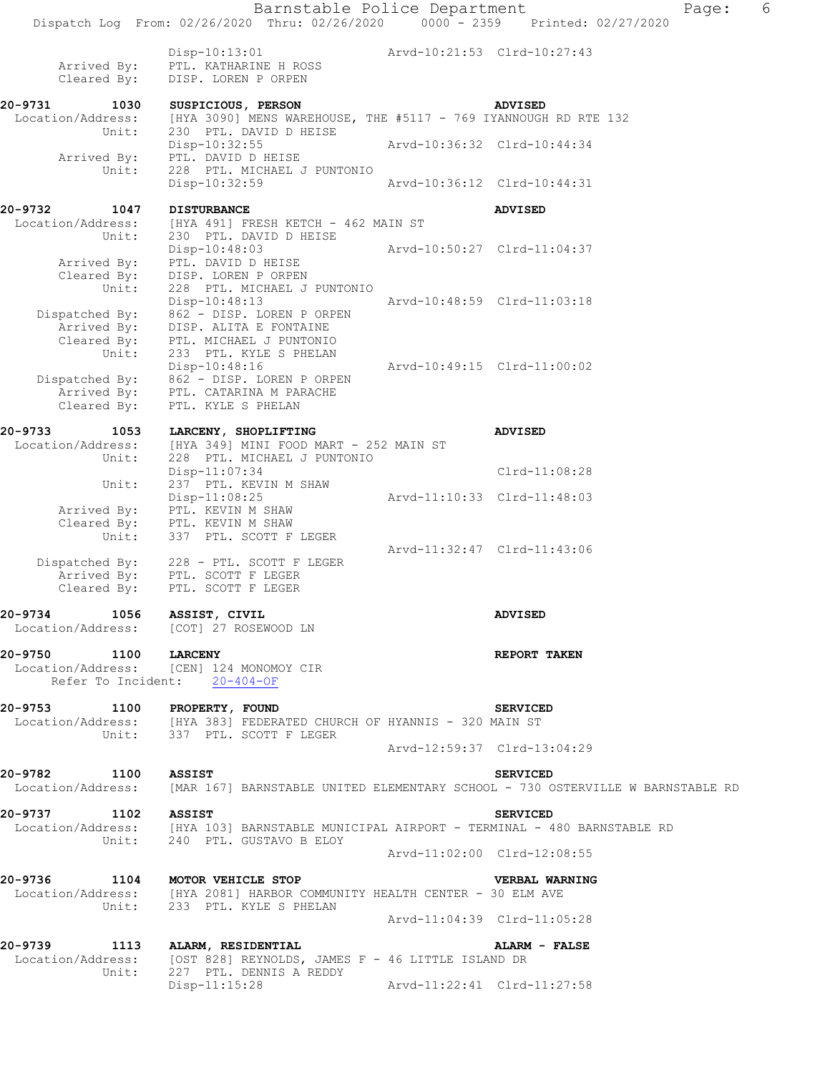|                                                                      | Barnstable Police Department<br>Dispatch Log From: 02/26/2020 Thru: 02/26/2020 0000 - 2359 Printed: 02/27/2020           |                             | 6<br>Page: |
|----------------------------------------------------------------------|--------------------------------------------------------------------------------------------------------------------------|-----------------------------|------------|
|                                                                      |                                                                                                                          |                             |            |
| Arrived By:<br>Cleared By:                                           | $Disp-10:13:01$<br>PTL. KATHARINE H ROSS<br>DISP. LOREN P ORPEN                                                          | Arvd-10:21:53 Clrd-10:27:43 |            |
| 20-9731<br>1030                                                      | SUSPICIOUS, PERSON<br>Location/Address: [HYA 3090] MENS WAREHOUSE, THE #5117 - 769 IYANNOUGH RD RTE 132                  | <b>ADVISED</b>              |            |
| Unit:<br>Arrived By:                                                 | 230 PTL. DAVID D HEISE<br>Disp-10:32:55<br>PTL. DAVID D HEISE                                                            | Arvd-10:36:32 Clrd-10:44:34 |            |
| Unit:                                                                | 228 PTL. MICHAEL J PUNTONIO<br>Disp-10:32:59                                                                             | Arvd-10:36:12 Clrd-10:44:31 |            |
|                                                                      |                                                                                                                          |                             |            |
| 20-9732<br>1047                                                      | <b>DISTURBANCE</b><br>Location/Address: [HYA 491] FRESH KETCH - 462 MAIN ST                                              | <b>ADVISED</b>              |            |
| Unit:                                                                | 230 PTL. DAVID D HEISE<br>Disp-10:48:03                                                                                  | Arvd-10:50:27 Clrd-11:04:37 |            |
| Arrived By:<br>Unit:                                                 | PTL. DAVID D HEISE<br>Cleared By: DISP. LOREN P ORPEN<br>228 PTL. MICHAEL J PUNTONIO                                     |                             |            |
|                                                                      | Disp-10:48:13<br>862 - DISP. LOREN P ORPEN                                                                               | Arvd-10:48:59 Clrd-11:03:18 |            |
|                                                                      | Dispatched By: 862 - DISP. LOREN P ORI<br>Arrived By: DISP. ALITA E FONTAINE<br>Cleared By: PTL. MICHAEL J PUNTONIO      |                             |            |
| Unit:                                                                | 233 PTL. KYLE S PHELAN<br>Disp-10:48:16                                                                                  | Arvd-10:49:15 Clrd-11:00:02 |            |
|                                                                      | Dispatched By: 862 - DISP. LOREN P ORPEN<br>Arrived By: PTL. CATARINA M PARACHE                                          |                             |            |
| Cleared By:                                                          | PTL. KYLE S PHELAN                                                                                                       |                             |            |
| 20-9733<br>1053                                                      | LARCENY, SHOPLIFTING                                                                                                     | <b>ADVISED</b>              |            |
| Location/Address:<br>Unit:                                           | [HYA 349] MINI FOOD MART - 252 MAIN ST<br>228 PTL. MICHAEL J PUNTONIO                                                    |                             |            |
| Unit:                                                                | Disp-11:07:34<br>237 PTL. KEVIN M SHAW                                                                                   | Clrd-11:08:28               |            |
|                                                                      | Disp-11:08:25<br>Arrived By: PTL. KEVIN M SHAW<br>Cleared By: PTL. KEVIN M SHAW                                          | Arvd-11:10:33 Clrd-11:48:03 |            |
| Unit:                                                                | 337 PTL. SCOTT F LEGER                                                                                                   |                             |            |
|                                                                      | Dispatched By: 228 - PTL. SCOTT F LEGER<br>Arrived By: PTL. SCOTT F LEGER<br>Cleared By: PTL. SCOTT F LEGER              | Arvd-11:32:47 Clrd-11:43:06 |            |
| 20-9734 1056 ASSIST, CIVIL<br>Location/Address: [COT] 27 ROSEWOOD LN |                                                                                                                          | <b>ADVISED</b>              |            |
| 20-9750 1100 LARCENY                                                 | Location/Address: [CEN] 124 MONOMOY CIR<br>Refer To Incident: 20-404-OF                                                  | REPORT TAKEN                |            |
| 20-9753 1100 PROPERTY, FOUND                                         |                                                                                                                          |                             |            |
|                                                                      | Location/Address: [HYA 383] FEDERATED CHURCH OF HYANNIS - 320 MAIN ST<br>Unit: 337 PTL. SCOTT F LEGER                    | <b>SERVICED</b>             |            |
|                                                                      |                                                                                                                          | Arvd-12:59:37 Clrd-13:04:29 |            |
| 20-9782 1100 ASSIST<br>Location/Address:                             | [MAR 167] BARNSTABLE UNITED ELEMENTARY SCHOOL - 730 OSTERVILLE W BARNSTABLE RD                                           | <b>SERVICED</b>             |            |
| 20-9737<br>1102 ASSIST                                               |                                                                                                                          | <b>SERVICED</b>             |            |
|                                                                      | Location/Address: [HYA 103] BARNSTABLE MUNICIPAL AIRPORT - TERMINAL - 480 BARNSTABLE RD<br>Unit: 240 PTL. GUSTAVO B ELOY |                             |            |
|                                                                      |                                                                                                                          | Arvd-11:02:00 Clrd-12:08:55 |            |
| 20-9736 1104 MOTOR VEHICLE STOP                                      | Location/Address: [HYA 2081] HARBOR COMMUNITY HEALTH CENTER - 30 ELM AVE                                                 | <b>VERBAL WARNING</b>       |            |
|                                                                      | Unit: 233 PTL. KYLE S PHELAN                                                                                             | Arvd-11:04:39 Clrd-11:05:28 |            |
| 20-9739 1113 ALARM, RESIDENTIAL                                      | Location/Address: [OST 828] REYNOLDS, JAMES F - 46 LITTLE ISLAND DR                                                      | ALARM - FALSE               |            |
| Unit:                                                                | 227 PTL. DENNIS A REDDY                                                                                                  |                             |            |
|                                                                      | $Disp-11:15:28$                                                                                                          | Arvd-11:22:41 Clrd-11:27:58 |            |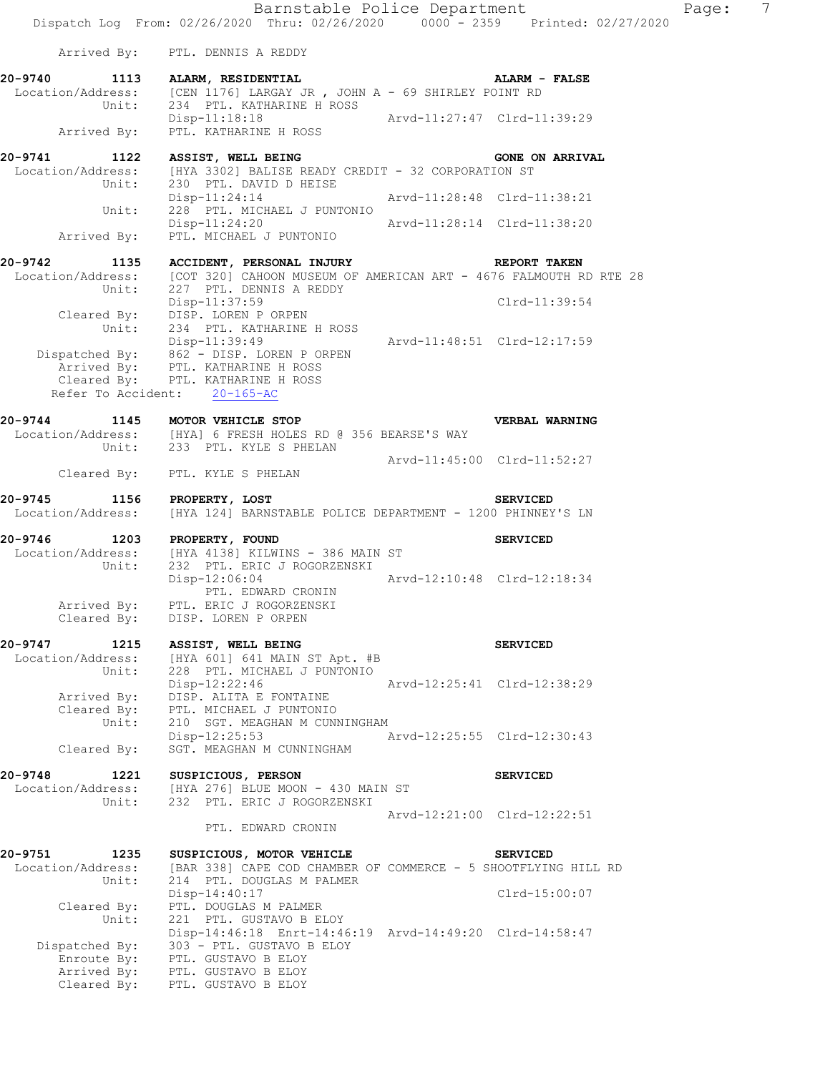Barnstable Police Department Page: 7 Dispatch Log From: 02/26/2020 Thru: 02/26/2020 0000 - 2359 Printed: 02/27/2020 Arrived By: PTL. DENNIS A REDDY **20-9740 1113 ALARM, RESIDENTIAL ALARM - FALSE**  Location/Address: [CEN 1176] LARGAY JR , JOHN A - 69 SHIRLEY POINT RD Unit: 234 PTL. KATHARINE H ROSS Disp-11:18:18 Arvd-11:27:47 Clrd-11:39:29 Arrived By: PTL. KATHARINE H ROSS **20-9741 1122 ASSIST, WELL BEING GONE ON ARRIVAL**  Location/Address: [HYA 3302] BALISE READY CREDIT - 32 CORPORATION ST diess: [nin Jove] 2000]<br>Unit: 230 PTL. DAVID D HEISE Disp-11:24:14 Arvd-11:28:48 Clrd-11:38:21 Unit: 228 PTL. MICHAEL J PUNTONIO Disp-11:24:20 Arvd-11:28:14 Clrd-11:38:20 Arrived By: PTL. MICHAEL J PUNTONIO **20-9742 1135 ACCIDENT, PERSONAL INJURY REPORT TAKEN**  Location/Address: [COT 320] CAHOON MUSEUM OF AMERICAN ART - 4676 FALMOUTH RD RTE 28 Unit: 227 PTL. DENNIS A REDDY Disp-11:37:59 Clrd-11:39:54 Cleared By: DISP. LOREN P ORPEN Unit: 234 PTL. KATHARINE H ROSS Disp-11:39:49 Arvd-11:48:51 Clrd-12:17:59 Dispatched By: 862 - DISP. LOREN P ORPEN .<br>Arrived By: PTL. KATHARINE H ROSS Cleared By: PTL. KATHARINE H ROSS Refer To Accident: 20-165-AC **20-9744 1145 MOTOR VEHICLE STOP VERBAL WARNING**  Location/Address: [HYA] 6 FRESH HOLES RD @ 356 BEARSE'S WAY Unit: 233 PTL. KYLE S PHELAN Arvd-11:45:00 Clrd-11:52:27 Cleared By: PTL. KYLE S PHELAN **20-9745 1156 PROPERTY, LOST SERVICED**  Location/Address: [HYA 124] BARNSTABLE POLICE DEPARTMENT - 1200 PHINNEY'S LN **20-9746 1203 PROPERTY, FOUND SERVICED**  Location/Address: [HYA 4138] KILWINS - 386 MAIN ST Unit: 232 PTL. ERIC J ROGORZENSKI Disp-12:06:04 Arvd-12:10:48 Clrd-12:18:34 PTL. EDWARD CRONIN Arrived By: PTL. ERIC J ROGORZENSKI Cleared By: DISP. LOREN P ORPEN **20-9747 1215 ASSIST, WELL BEING SERVICED**  Location/Address: [HYA 601] 641 MAIN ST Apt. #B Unit: 228 PTL. MICHAEL J PUNTONIO Disp-12:22:46 Arvd-12:25:41 Clrd-12:38:29 Arrived By: DISP. ALITA E FONTAINE Cleared By: PTL. MICHAEL J PUNTONIO Unit: 210 SGT. MEAGHAN M CUNNINGHAM Disp-12:25:53 Arvd-12:25:55 Clrd-12:30:43 Cleared By: SGT. MEAGHAN M CUNNINGHAM **20-9748 1221 SUSPICIOUS, PERSON SERVICED**  Location/Address: [HYA 276] BLUE MOON - 430 MAIN ST Unit: 232 PTL. ERIC J ROGORZENSKI Arvd-12:21:00 Clrd-12:22:51 PTL. EDWARD CRONIN 20-9751 1235 SUSPICIOUS, MOTOR VEHICLE **1235** SERVICED Location/Address: [BAR 338] CAPE COD CHAMBER OF COMMERCE - 5 SHOOTFLYING HILL RD Unit: 214 PTL. DOUGLAS M PALMER Disp-14:40:17 Clrd-15:00:07 Cleared By: PTL. DOUGLAS M PALMER Unit: 221 PTL. GUSTAVO B ELOY Disp-14:46:18 Enrt-14:46:19 Arvd-14:49:20 Clrd-14:58:47 Dispatched By: 303 - PTL. GUSTAVO B ELOY .<br>Enroute By: PTL. GUSTAVO B ELOY Arrived By: PTL. GUSTAVO B ELOY Cleared By: PTL. GUSTAVO B ELOY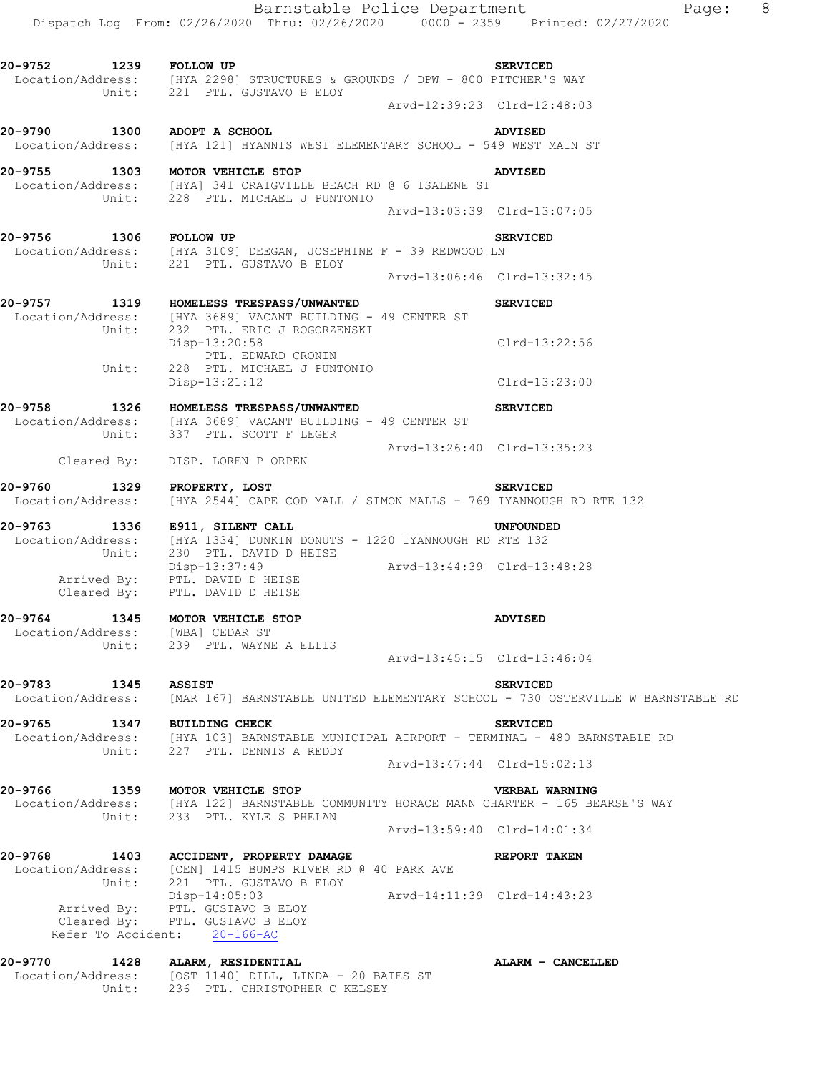**20-9752 1239 FOLLOW UP SERVICED** 

 Location/Address: [HYA 2298] STRUCTURES & GROUNDS / DPW - 800 PITCHER'S WAY Unit: 221 PTL. GUSTAVO B ELOY Arvd-12:39:23 Clrd-12:48:03 **20-9790 1300 ADOPT A SCHOOL ADVISED**  Location/Address: [HYA 121] HYANNIS WEST ELEMENTARY SCHOOL - 549 WEST MAIN ST **20-9755 1303 MOTOR VEHICLE STOP ADVISED**  Location/Address: [HYA] 341 CRAIGVILLE BEACH RD @ 6 ISALENE ST Unit: 228 PTL. MICHAEL J PUNTONIO Arvd-13:03:39 Clrd-13:07:05 **20-9756 1306 FOLLOW UP SERVICED**  Location/Address: [HYA 3109] DEEGAN, JOSEPHINE F - 39 REDWOOD LN Unit: 221 PTL. GUSTAVO B ELOY Arvd-13:06:46 Clrd-13:32:45 **20-9757 1319 HOMELESS TRESPASS/UNWANTED SERVICED**  Location/Address: [HYA 3689] VACANT BUILDING - 49 CENTER ST Unit: 232 PTL. ERIC J ROGORZENSKI Disp-13:20:58 Clrd-13:22:56 PTL. EDWARD CRONIN Unit: 228 PTL. MICHAEL J PUNTONIO Disp-13:21:12 Clrd-13:23:00 **20-9758 1326 HOMELESS TRESPASS/UNWANTED SERVICED**  Location/Address: [HYA 3689] VACANT BUILDING - 49 CENTER ST Unit: 337 PTL. SCOTT F LEGER Arvd-13:26:40 Clrd-13:35:23 Cleared By: DISP. LOREN P ORPEN **20-9760 1329 PROPERTY, LOST SERVICED**  Location/Address: [HYA 2544] CAPE COD MALL / SIMON MALLS - 769 IYANNOUGH RD RTE 132 **20-9763 1336 E911, SILENT CALL UNFOUNDED**  Location/Address: [HYA 1334] DUNKIN DONUTS - 1220 IYANNOUGH RD RTE 132 Unit: 230 PTL. DAVID D HEISE Disp-13:37:49 Arvd-13:44:39 Clrd-13:48:28 Arrived By: PTL. DAVID D HEISE Cleared  $\overline{\text{By}}$ : PTL. DAVID D HEISE **20-9764 1345 MOTOR VEHICLE STOP ADVISED**  Location/Address: [WBA] CEDAR ST Unit: 239 PTL. WAYNE A ELLIS Arvd-13:45:15 Clrd-13:46:04 **20-9783 1345 ASSIST SERVICED**  Location/Address: [MAR 167] BARNSTABLE UNITED ELEMENTARY SCHOOL - 730 OSTERVILLE W BARNSTABLE RD **20-9765 1347 BUILDING CHECK SERVICED**  Location/Address: [HYA 103] BARNSTABLE MUNICIPAL AIRPORT - TERMINAL - 480 BARNSTABLE RD Unit: 227 PTL. DENNIS A REDDY Arvd-13:47:44 Clrd-15:02:13 **20-9766 1359 MOTOR VEHICLE STOP VERBAL WARNING**  Location/Address: [HYA 122] BARNSTABLE COMMUNITY HORACE MANN CHARTER - 165 BEARSE'S WAY Unit: 233 PTL. KYLE S PHELAN Arvd-13:59:40 Clrd-14:01:34 **20-9768 1403 ACCIDENT, PROPERTY DAMAGE REPORT TAKEN**  Location/Address: [CEN] 1415 BUMPS RIVER RD @ 40 PARK AVE Unit: 221 PTL. GUSTAVO B ELOY Disp-14:05:03 Arvd-14:11:39 Clrd-14:43:23 Arrived By: PTL. GUSTAVO B ELOY Cleared By: PTL. GUSTAVO B ELOY Refer To Accident: 20-166-AC **20-9770 1428 ALARM, RESIDENTIAL ALARM - CANCELLED**  Location/Address: [OST 1140] DILL, LINDA - 20 BATES ST

Unit: 236 PTL. CHRISTOPHER C KELSEY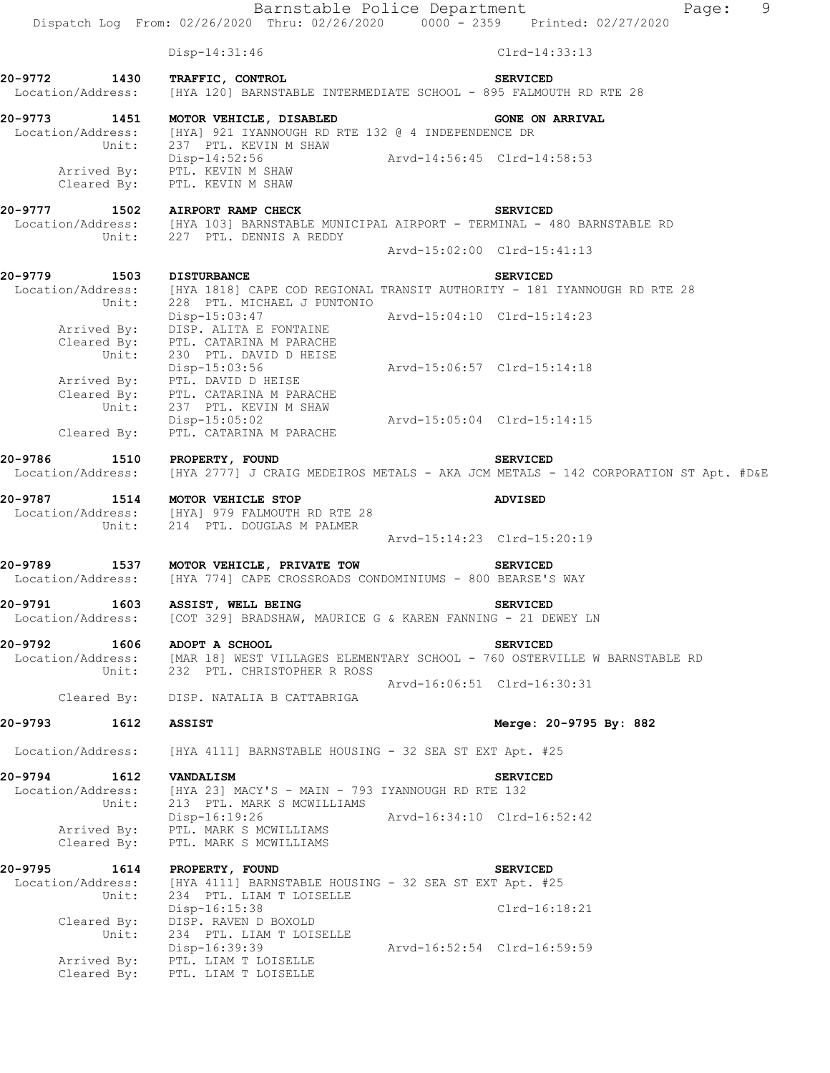Barnstable Police Department Page: 9 Dispatch Log From: 02/26/2020 Thru: 02/26/2020 0000 - 2359 Printed: 02/27/2020 Disp-14:31:46 Clrd-14:33:13 **20-9772 1430 TRAFFIC, CONTROL SERVICED**  Location/Address: [HYA 120] BARNSTABLE INTERMEDIATE SCHOOL - 895 FALMOUTH RD RTE 28 **20-9773 1451 MOTOR VEHICLE, DISABLED GONE ON ARRIVAL**  Location/Address: [HYA] 921 IYANNOUGH RD RTE 132 @ 4 INDEPENDENCE DR Unit: 237 PTL. KEVIN M SHAW Disp-14:52:56 Arvd-14:56:45 Clrd-14:58:53 Arrived By: PTL. KEVIN M SHAW Cleared By: PTL. KEVIN M SHAW **20-9777 1502 AIRPORT RAMP CHECK SERVICED**  Location/Address: [HYA 103] BARNSTABLE MUNICIPAL AIRPORT - TERMINAL - 480 BARNSTABLE RD Unit: 227 PTL. DENNIS A REDDY Arvd-15:02:00 Clrd-15:41:13 **20-9779 1503 DISTURBANCE SERVICED**  Location/Address: [HYA 1818] CAPE COD REGIONAL TRANSIT AUTHORITY - 181 IYANNOUGH RD RTE 28 Unit: 228 PTL. MICHAEL J PUNTONIO Disp-15:03:47 Arvd-15:04:10 Clrd-15:14:23 Arrived By: DISP. ALITA E FONTAINE Cleared By: PTL. CATARINA M PARACHE Unit: 230 PTL. DAVID D HEISE Disp-15:03:56 Arvd-15:06:57 Clrd-15:14:18 Arrived By: PTL. DAVID D HEISE Cleared By: PTL. CATARINA M PARACHE Unit: 237 PTL. KEVIN M SHAW Disp-15:05:02 Arvd-15:05:04 Clrd-15:14:15 Cleared By: PTL. CATARINA M PARACHE **20-9786 1510 PROPERTY, FOUND SERVICED**  Location/Address: [HYA 2777] J CRAIG MEDEIROS METALS - AKA JCM METALS - 142 CORPORATION ST Apt. #D&E **20-9787 1514 MOTOR VEHICLE STOP ADVISED**  Location/Address: [HYA] 979 FALMOUTH RD RTE 28 Unit: 214 PTL. DOUGLAS M PALMER Arvd-15:14:23 Clrd-15:20:19 **20-9789 1537 MOTOR VEHICLE, PRIVATE TOW SERVICED**  Location/Address: [HYA 774] CAPE CROSSROADS CONDOMINIUMS - 800 BEARSE'S WAY 20-9791 1603 ASSIST, WELL BEING **SERVICED**  Location/Address: [COT 329] BRADSHAW, MAURICE G & KAREN FANNING - 21 DEWEY LN **20-9792 1606 ADOPT A SCHOOL SERVICED**  Location/Address: [MAR 18] WEST VILLAGES ELEMENTARY SCHOOL - 760 OSTERVILLE W BARNSTABLE RD Unit: 232 PTL. CHRISTOPHER R ROSS Arvd-16:06:51 Clrd-16:30:31 Cleared By: DISP. NATALIA B CATTABRIGA **20-9793 1612 ASSIST Merge: 20-9795 By: 882**  Location/Address: [HYA 4111] BARNSTABLE HOUSING - 32 SEA ST EXT Apt. #25 **20-9794 1612 VANDALISM SERVICED**  Location/Address: [HYA 23] MACY'S - MAIN - 793 IYANNOUGH RD RTE 132 Unit: 213 PTL. MARK S MCWILLIAMS Disp-16:19:26 Arvd-16:34:10 Clrd-16:52:42 Arrived By: PTL. MARK S MCWILLIAMS Cleared By: PTL. MARK S MCWILLIAMS **20-9795 1614 PROPERTY, FOUND SERVICED**  Location/Address: [HYA 4111] BARNSTABLE HOUSING - 32 SEA ST EXT Apt. #25 Unit: 234 PTL. LIAM T LOISELLE Disp-16:15:38 Clrd-16:18:21 Cleared By: DISP. RAVEN D BOXOLD Unit: 234 PTL. LIAM T LOISELLE Disp-16:39:39 Arvd-16:52:54 Clrd-16:59:59 Arrived By: PTL. LIAM T LOISELLE Cleared By: PTL. LIAM T LOISELLE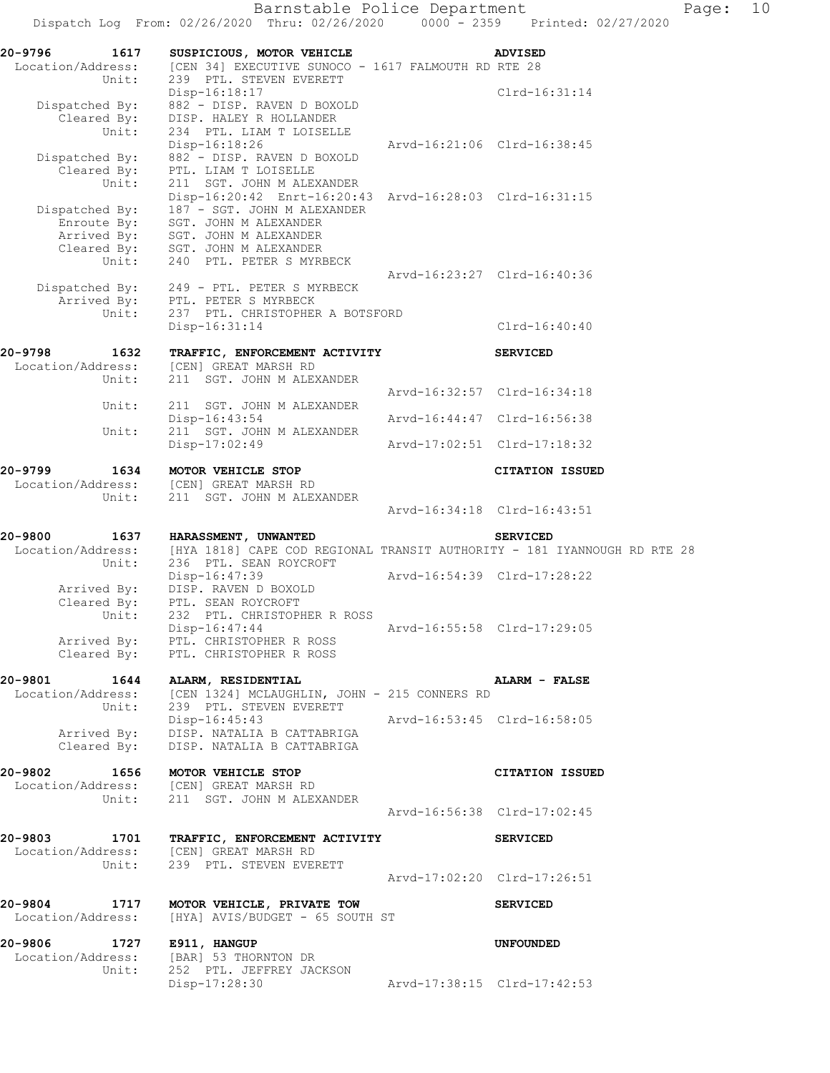| 20-9796<br>1617<br>Location/Address:<br>Unit:                                 | SUSPICIOUS, MOTOR VEHICLE<br>[CEN 34] EXECUTIVE SUNOCO - 1617 FALMOUTH RD RTE 28<br>239 PTL. STEVEN EVERETT                                                                                                                |                             | <b>ADVISED</b>         |
|-------------------------------------------------------------------------------|----------------------------------------------------------------------------------------------------------------------------------------------------------------------------------------------------------------------------|-----------------------------|------------------------|
| Dispatched By:<br>Cleared By:<br>Unit:                                        | $Disp-16:18:17$<br>882 - DISP. RAVEN D BOXOLD<br>DISP. HALEY R HOLLANDER<br>234 PTL. LIAM T LOISELLE                                                                                                                       |                             | Clrd-16:31:14          |
| Dispatched By:<br>Cleared By:                                                 | Disp-16:18:26<br>882 - DISP. RAVEN D BOXOLD<br>PTL. LIAM T LOISELLE                                                                                                                                                        | Arvd-16:21:06 Clrd-16:38:45 |                        |
| Unit:<br>Dispatched By:<br>Enroute By:<br>Arrived By:<br>Cleared By:<br>Unit: | 211 SGT. JOHN M ALEXANDER<br>Disp-16:20:42 Enrt-16:20:43 Arvd-16:28:03 Clrd-16:31:15<br>187 - SGT. JOHN M ALEXANDER<br>SGT. JOHN M ALEXANDER<br>SGT. JOHN M ALEXANDER<br>SGT. JOHN M ALEXANDER<br>240 PTL. PETER S MYRBECK |                             |                        |
|                                                                               | Dispatched By: 249 - PTL. PETER S MYRBECK<br>Arrived By: PTL. PETER S MYRBECK                                                                                                                                              | Arvd-16:23:27 Clrd-16:40:36 |                        |
| Unit:                                                                         | 237 PTL. CHRISTOPHER A BOTSFORD<br>Disp-16:31:14                                                                                                                                                                           |                             | $Clrd-16:40:40$        |
| 20-9798<br>1632<br>Location/Address:                                          | TRAFFIC, ENFORCEMENT ACTIVITY<br>[CEN] GREAT MARSH RD                                                                                                                                                                      |                             | <b>SERVICED</b>        |
| Unit:                                                                         | 211 SGT. JOHN M ALEXANDER                                                                                                                                                                                                  | Arvd-16:32:57 Clrd-16:34:18 |                        |
| Unit:<br>Unit:                                                                | 211 SGT. JOHN M ALEXANDER<br>Disp-16:43:54<br>211 SGT. JOHN M ALEXANDER                                                                                                                                                    | Arvd-16:44:47 Clrd-16:56:38 |                        |
|                                                                               | $Disp-17:02:49$                                                                                                                                                                                                            | Arvd-17:02:51 Clrd-17:18:32 |                        |
| 20-9799<br>1634<br>Location/Address:<br>Unit:                                 | MOTOR VEHICLE STOP<br>[CEN] GREAT MARSH RD<br>211 SGT. JOHN M ALEXANDER                                                                                                                                                    |                             | <b>CITATION ISSUED</b> |
|                                                                               |                                                                                                                                                                                                                            | Arvd-16:34:18 Clrd-16:43:51 |                        |
| 20-9800<br>1637<br>Location/Address:<br>Unit:                                 | HARASSMENT, UNWANTED<br>[HYA 1818] CAPE COD REGIONAL TRANSIT AUTHORITY - 181 IYANNOUGH RD RTE 28<br>236 PTL. SEAN ROYCROFT                                                                                                 |                             | <b>SERVICED</b>        |
| Arrived By:<br>Cleared By:                                                    | Disp-16:47:39<br>DISP. RAVEN D BOXOLD<br>PTL. SEAN ROYCROFT                                                                                                                                                                | Arvd-16:54:39 Clrd-17:28:22 |                        |
| Unit:<br>Arrived By:                                                          | 232 PTL. CHRISTOPHER R ROSS<br>Disp-16:47:44<br>PTL. CHRISTOPHER R ROSS<br>Cleared By: PTL. CHRISTOPHER R ROSS                                                                                                             | Arvd-16:55:58 Clrd-17:29:05 |                        |
| 20-9801 1644 ALARM, RESIDENTIAL                                               | Location/Address: [CEN 1324] MCLAUGHLIN, JOHN - 215 CONNERS RD<br>Unit: 239 PTL. STEVEN EVERETT                                                                                                                            |                             | <b>ALARM - FALSE</b>   |
|                                                                               | Disp-16:45:43<br>Arrived By: DISP. NATALIA B CATTABRIGA<br>Cleared By: DISP. NATALIA B CATTABRIGA                                                                                                                          | Arvd-16:53:45 Clrd-16:58:05 |                        |
| 20-9802 2014                                                                  | 1656 MOTOR VEHICLE STOP<br>Location/Address: [CEN] GREAT MARSH RD<br>Unit: 211 SGT. JOHN M ALEXANDER                                                                                                                       |                             | <b>CITATION ISSUED</b> |
|                                                                               |                                                                                                                                                                                                                            |                             |                        |
|                                                                               | 20-9803 1701 TRAFFIC, ENFORCEMENT ACTIVITY<br>Location/Address: [CEN] GREAT MARSH RD<br>Unit: 239 PTL. STEVEN EVERETT                                                                                                      |                             | <b>SERVICED</b>        |
|                                                                               | 20-9804 1717 MOTOR VEHICLE, PRIVATE TOW                                                                                                                                                                                    | Arvd-17:02:20 Clrd-17:26:51 |                        |
|                                                                               | Location/Address: [HYA] AVIS/BUDGET - 65 SOUTH ST                                                                                                                                                                          |                             | <b>SERVICED</b>        |
| 20-9806 1727 E911, HANGUP<br>Unit:                                            | Location/Address: [BAR] 53 THORNTON DR<br>252 PTL. JEFFREY JACKSON                                                                                                                                                         |                             | <b>UNFOUNDED</b>       |
|                                                                               | Disp-17:28:30                                                                                                                                                                                                              | Arvd-17:38:15 Clrd-17:42:53 |                        |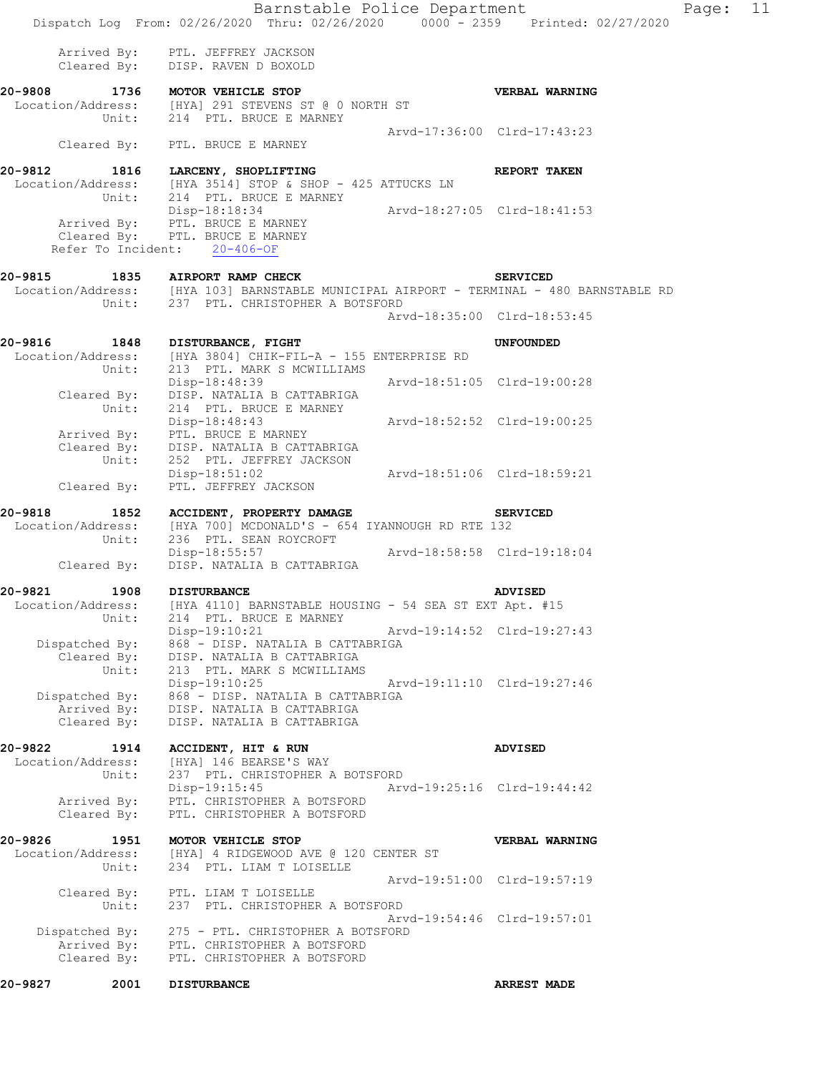|                                                 |                           | Barnstable Police Department                                                                                                                                                                 |                             | Dispatch Log From: 02/26/2020 Thru: 02/26/2020 0000 - 2359 Printed: 02/27/2020                                                      | Page: 11 |
|-------------------------------------------------|---------------------------|----------------------------------------------------------------------------------------------------------------------------------------------------------------------------------------------|-----------------------------|-------------------------------------------------------------------------------------------------------------------------------------|----------|
|                                                 |                           | Arrived By: PTL. JEFFREY JACKSON<br>Cleared By: DISP. RAVEN D BOXOLD                                                                                                                         |                             |                                                                                                                                     |          |
|                                                 |                           | 20-9808 1736 MOTOR VEHICLE STOP<br>Location/Address: [HYA] 291 STEVENS ST @ 0 NORTH ST<br>Unit: 214 PTL. BRUCE E MARNEY                                                                      |                             | <b>VERBAL WARNING</b>                                                                                                               |          |
|                                                 |                           | Cleared By: PTL. BRUCE E MARNEY                                                                                                                                                              | Arvd-17:36:00 Clrd-17:43:23 |                                                                                                                                     |          |
|                                                 |                           | 20-9812 1816 LARCENY, SHOPLIFTING<br>Location/Address: [HYA 3514] STOP & SHOP - 425 ATTUCKS LN                                                                                               |                             | <b>REPORT TAKEN</b>                                                                                                                 |          |
|                                                 |                           | Unit: 214 PTL. BRUCE E MARNEY<br>Disp-18:18:34 Arvd-18:27:05 Clrd-18:41:53<br>Arrived By: PTL. BRUCE E MARNEY<br>Cleared By: PTL. BRUCE E MARNEY<br>Refer To Incident: 20-406-OF             |                             |                                                                                                                                     |          |
|                                                 |                           | Unit: 237 PTL. CHRISTOPHER A BOTSFORD                                                                                                                                                        |                             | 20-9815 1835 AIRPORT RAMP CHECK SERVICED<br>Location/Address: [HYA 103] BARNSTABLE MUNICIPAL AIRPORT - TERMINAL - 480 BARNSTABLE RD |          |
|                                                 |                           |                                                                                                                                                                                              | Arvd-18:35:00 Clrd-18:53:45 |                                                                                                                                     |          |
| 20-9816 1848 DISTURBANCE, FIGHT                 |                           | Location/Address: [HYA 3804] CHIK-FIL-A - 155 ENTERPRISE RD<br>Unit: 213 PTL. MARK S MCWILLIAMS                                                                                              |                             | UNFOUNDED                                                                                                                           |          |
|                                                 |                           | Disp-18:48:39 Arvd-18:51:05 Clrd-19:00:28<br>Cleared By: DISP. NATALIA B CATTABRIGA                                                                                                          |                             |                                                                                                                                     |          |
|                                                 |                           | Unit: 214 PTL. BRUCE E MARNEY<br>Disp-18:48:43    Arvd-18:52:52 Clrd-19:00:25<br>Arrived By: PTL. BRUCE E MARNEY<br>Cleared By: DISP. NATALIA B CATTABRIGA<br>Unit: 252 PTL. JEFFREY JACKSON |                             |                                                                                                                                     |          |
| Cleared By:                                     |                           | Disp-18:51:02<br>Arvd-18:51:06 Clrd-18:59:21<br>PTL. JEFFREY JACKSON                                                                                                                         |                             |                                                                                                                                     |          |
|                                                 |                           | 20-9818 1852 ACCIDENT, PROPERTY DAMAGE SERVICED<br>Location/Address: [HYA 700] MCDONALD'S - 654 IYANNOUGH RD RTE 132<br>Unit: 236 PTL. SEAN ROYCROFT                                         |                             |                                                                                                                                     |          |
|                                                 |                           | Disp-18:55:57 Arvd-18:58:58 Clrd-19:18:04<br>Cleared By: DISP. NATALIA B CATTABRIGA                                                                                                          |                             |                                                                                                                                     |          |
| 20-9821<br>Location/Address:                    | 1908 DISTURBANCE<br>Unit: | [HYA 4110] BARNSTABLE HOUSING - 54 SEA ST EXT Apt. #15<br>214 PTL. BRUCE E MARNEY                                                                                                            |                             | <b>ADVISED</b>                                                                                                                      |          |
| Dispatched By:                                  |                           | Disp-19:10:21<br>868 - DISP. NATALIA B CATTABRIGA<br>Cleared By: DISP. NATALIA B CATTABRIGA                                                                                                  | Arvd-19:14:52 Clrd-19:27:43 |                                                                                                                                     |          |
| Dispatched By:<br>Arrived By:<br>Cleared By:    | Unit:                     | 213 PTL. MARK S MCWILLIAMS<br>Disp-19:10:25<br>868 - DISP. NATALIA B CATTABRIGA<br>DISP. NATALIA B CATTABRIGA<br>DISP. NATALIA B CATTABRIGA                                                  | Arvd-19:11:10 Clrd-19:27:46 |                                                                                                                                     |          |
| 20-9822                                         | 1914                      | ACCIDENT, HIT & RUN                                                                                                                                                                          |                             | <b>ADVISED</b>                                                                                                                      |          |
| Location/Address:<br>Arrived By:<br>Cleared By: | Unit:                     | [HYA] 146 BEARSE'S WAY<br>237 PTL. CHRISTOPHER A BOTSFORD<br>$Disp-19:15:45$<br>PTL. CHRISTOPHER A BOTSFORD<br>PTL. CHRISTOPHER A BOTSFORD                                                   | Arvd-19:25:16 Clrd-19:44:42 |                                                                                                                                     |          |
| 20-9826<br>Location/Address:                    | 1951<br>Unit:             | MOTOR VEHICLE STOP<br>[HYA] 4 RIDGEWOOD AVE @ 120 CENTER ST<br>234 PTL. LIAM T LOISELLE                                                                                                      |                             | VERBAL WARNING                                                                                                                      |          |
| Cleared By:                                     | Unit:                     | PTL. LIAM T LOISELLE<br>237 PTL. CHRISTOPHER A BOTSFORD                                                                                                                                      |                             | Arvd-19:51:00 Clrd-19:57:19                                                                                                         |          |
| Dispatched By:<br>Arrived By:<br>Cleared By:    |                           | 275 - PTL. CHRISTOPHER A BOTSFORD<br>PTL. CHRISTOPHER A BOTSFORD<br>PTL. CHRISTOPHER A BOTSFORD                                                                                              |                             | Arvd-19:54:46 Clrd-19:57:01                                                                                                         |          |
| 20-9827                                         | 2001 DISTURBANCE          |                                                                                                                                                                                              |                             | <b>ARREST MADE</b>                                                                                                                  |          |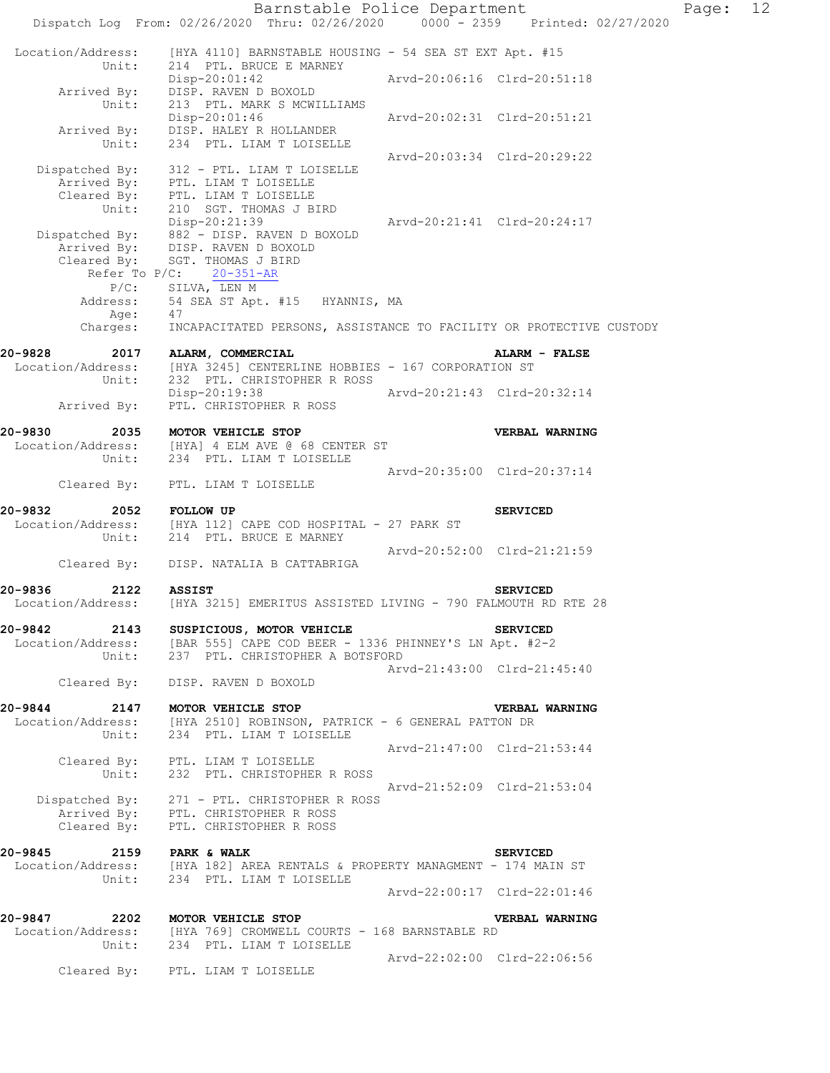Barnstable Police Department Fage: 12 Dispatch Log From: 02/26/2020 Thru: 02/26/2020 0000 - 2359 Printed: 02/27/2020 Location/Address: [HYA 4110] BARNSTABLE HOUSING - 54 SEA ST EXT Apt. #15 Unit: 214 PTL. BRUCE E MARNEY Disp-20:01:42 Arvd-20:06:16 Clrd-20:51:18 Arrived By: DISP. RAVEN D BOXOLD Unit: 213 PTL. MARK S MCWILLIAMS Disp-20:01:46 Arvd-20:02:31 Clrd-20:51:21 Arrived By: DISP. HALEY R HOLLANDER Unit: 234 PTL. LIAM T LOISELLE Arvd-20:03:34 Clrd-20:29:22 Dispatched By: 312 - PTL. LIAM T LOISELLE Arrived By: PTL. LIAM T LOISELLE Cleared By: PTL. LIAM T LOISELLE Unit: 210 SGT. THOMAS J BIRD Disp-20:21:39 Arvd-20:21:41 Clrd-20:24:17 Dispatched By: 882 - DISP. RAVEN D BOXOLD .<br>Arrived By: DISP. RAVEN D BOXOLD Cleared By: SGT. THOMAS J BIRD Refer To P/C: 20-351-AR P/C: SILVA, LEN M<br>Address: 54 SEA ST Apt. 54 SEA ST Apt. #15 HYANNIS, MA Age: 47 Charges: INCAPACITATED PERSONS, ASSISTANCE TO FACILITY OR PROTECTIVE CUSTODY **20-9828 2017 ALARM, COMMERCIAL ALARM - FALSE**  Location/Address: [HYA 3245] CENTERLINE HOBBIES - 167 CORPORATION ST Unit: 232 PTL. CHRISTOPHER R ROSS Disp-20:19:38 Arvd-20:21:43 Clrd-20:32:14 Arrived By: PTL. CHRISTOPHER R ROSS **20-9830 2035 MOTOR VEHICLE STOP VERBAL WARNING**  Location/Address: [HYA] 4 ELM AVE @ 68 CENTER ST Unit: 234 PTL. LIAM T LOISELLE Arvd-20:35:00 Clrd-20:37:14 Cleared By: PTL. LIAM T LOISELLE **20-9832 2052 FOLLOW UP SERVICED**  Location/Address: [HYA 112] CAPE COD HOSPITAL - 27 PARK ST Unit: 214 PTL. BRUCE E MARNEY Arvd-20:52:00 Clrd-21:21:59 Cleared By: DISP. NATALIA B CATTABRIGA **20-9836 2122 ASSIST SERVICED**  Location/Address: [HYA 3215] EMERITUS ASSISTED LIVING - 790 FALMOUTH RD RTE 28 **20-9842 2143 SUSPICIOUS, MOTOR VEHICLE SERVICED**  Location/Address: [BAR 555] CAPE COD BEER - 1336 PHINNEY'S LN Apt. #2-2 Unit: 237 PTL. CHRISTOPHER A BOTSFORD Arvd-21:43:00 Clrd-21:45:40 Cleared By: DISP. RAVEN D BOXOLD **20-9844 2147 MOTOR VEHICLE STOP VERBAL WARNING**  [HYA 2510] ROBINSON, PATRICK - 6 GENERAL PATTON DR Location/Address: [HYA 2510] ROBINSON, PATRI<br>Unit: 234 PTL. LIAM T LOISELLE Arvd-21:47:00 Clrd-21:53:44 Cleared By: PTL. LIAM T LOISELLE Unit: 232 PTL. CHRISTOPHER R ROSS Arvd-21:52:09 Clrd-21:53:04 Dispatched By: 271 - PTL. CHRISTOPHER R ROSS Arrived By: PTL. CHRISTOPHER R ROSS Cleared By: PTL. CHRISTOPHER R ROSS **20-9845** 2159 PARK & WALK 20-9845 SERVICED Location/Address: [HYA 182] AREA RENTALS & PROPERTY MANAGMENT - 174 MAIN ST Unit: 234 PTL. LIAM T LOISELLE Unit: 234 PTL. LIAM T LOISELLE<br>Arvd-22:00:17 C1rd-22:01:46 **20-9847 2202 MOTOR VEHICLE STOP VERBAL WARNING**  Location/Address: [HYA 769] CROMWELL COURTS - 168 BARNSTABLE RD Unit: 234 PTL. LIAM T LOISELLE  $Arvd-22:02:00$   $Clrd-22:06:56$ Cleared By: PTL. LIAM T LOISELLE